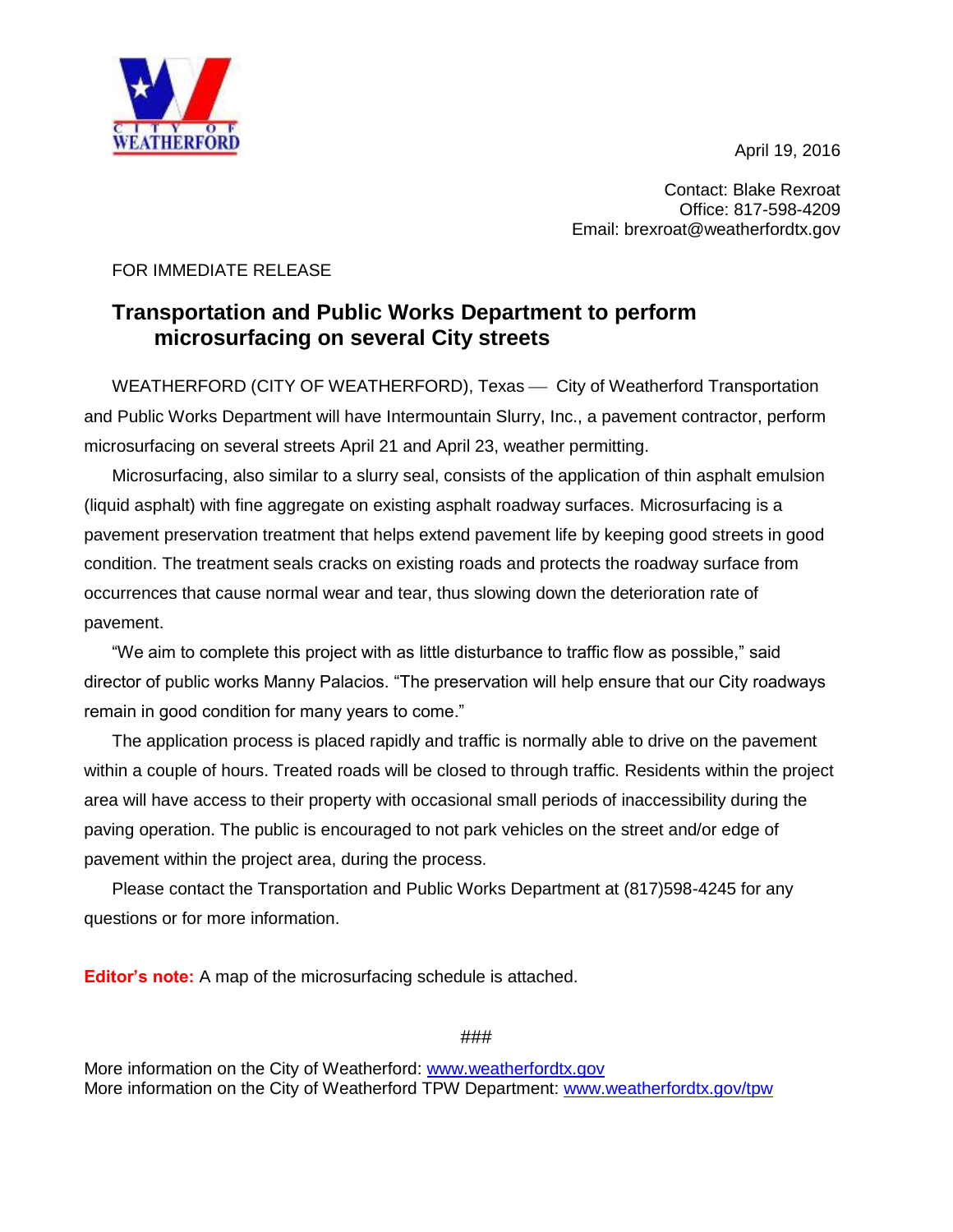April 19, 2016



Contact: Blake Rexroat Office: 817-598-4209 Email: brexroat@weatherfordtx.gov

## FOR IMMEDIATE RELEASE

## **Transportation and Public Works Department to perform microsurfacing on several City streets**

WEATHERFORD (CITY OF WEATHERFORD), Texas — City of Weatherford Transportation and Public Works Department will have Intermountain Slurry, Inc., a pavement contractor, perform microsurfacing on several streets April 21 and April 23, weather permitting.

Microsurfacing, also similar to a slurry seal, consists of the application of thin asphalt emulsion (liquid asphalt) with fine aggregate on existing asphalt roadway surfaces. Microsurfacing is a pavement preservation treatment that helps extend pavement life by keeping good streets in good condition. The treatment seals cracks on existing roads and protects the roadway surface from occurrences that cause normal wear and tear, thus slowing down the deterioration rate of pavement.

"We aim to complete this project with as little disturbance to traffic flow as possible," said director of public works Manny Palacios. "The preservation will help ensure that our City roadways remain in good condition for many years to come."

The application process is placed rapidly and traffic is normally able to drive on the pavement within a couple of hours. Treated roads will be closed to through traffic. Residents within the project area will have access to their property with occasional small periods of inaccessibility during the paving operation. The public is encouraged to not park vehicles on the street and/or edge of pavement within the project area, during the process.

Please contact the Transportation and Public Works Department at (817)598-4245 for any questions or for more information.

**Editor's note:** A map of the microsurfacing schedule is attached.

###

More information on the City of Weatherford: [www.weatherfordtx.gov](http://www.weatherfordtx.gov/) More information on the City of Weatherford TPW Department: [www.weatherfordtx.gov/tpw](http://www.weatherfordtx.gov/tpw)